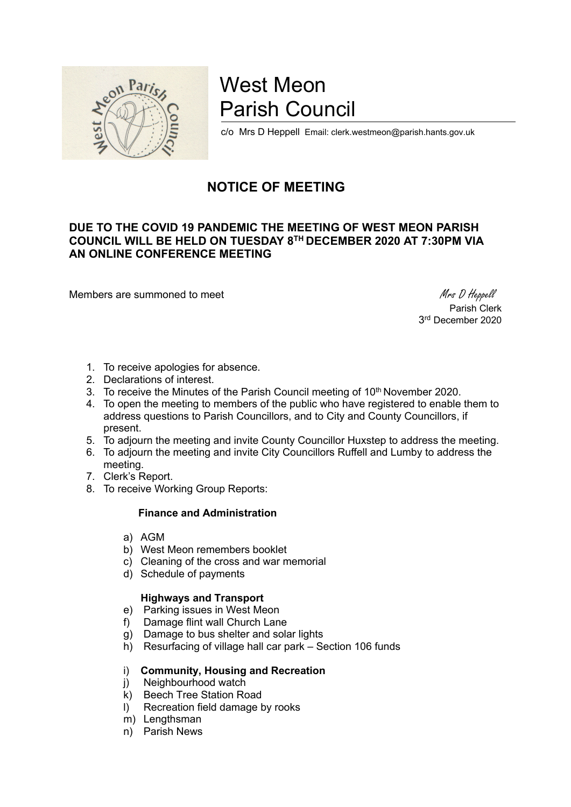

# West Meon Parish Council

c/o Mrs D Heppell Email: clerk.westmeon@parish.hants.gov.uk

## **NOTICE OF MEETING**

### **DUE TO THE COVID 19 PANDEMIC THE MEETING OF WEST MEON PARISH COUNCIL WILL BE HELD ON TUESDAY 8 TH DECEMBER 2020 AT 7:30PM VIA AN ONLINE CONFERENCE MEETING**

Members are summoned to meet Mess D Heppell

Parish Clerk 3 rd December 2020

- 1. To receive apologies for absence.
- 2. Declarations of interest.
- 3. To receive the Minutes of the Parish Council meeting of 10<sup>th</sup> November 2020.
- 4. To open the meeting to members of the public who have registered to enable them to address questions to Parish Councillors, and to City and County Councillors, if present.
- 5. To adjourn the meeting and invite County Councillor Huxstep to address the meeting.
- 6. To adjourn the meeting and invite City Councillors Ruffell and Lumby to address the meeting.
- 7. Clerk's Report.
- 8. To receive Working Group Reports:

#### **Finance and Administration**

- a) AGM
- b) West Meon remembers booklet
- c) Cleaning of the cross and war memorial
- d) Schedule of payments

#### **Highways and Transport**

- e) Parking issues in West Meon
- f) Damage flint wall Church Lane
- g) Damage to bus shelter and solar lights
- h) Resurfacing of village hall car park Section 106 funds

#### i) **Community, Housing and Recreation**

- i) Neighbourhood watch
- k) Beech Tree Station Road
- l) Recreation field damage by rooks
- m) Lengthsman
- n) Parish News